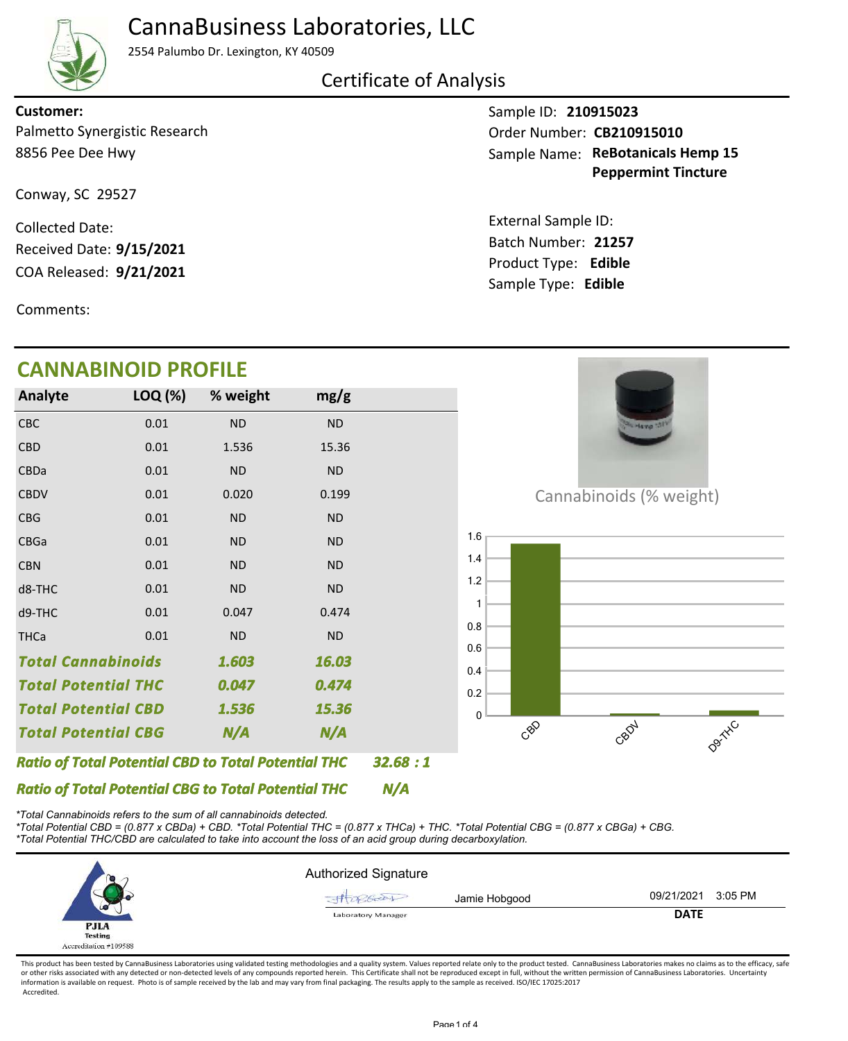

### CannaBusiness Laboratories, LLC

2554 Palumbo Dr. Lexington, KY 40509

Certificate of Analysis

#### Palmetto Synergistic Research **Customer:**

Conway, SC 29527

8856 Pee Dee Hwy

COA Released: Collected Date: Received Date: **9/15/2021**

Comments:

### **CANNABINOID PROFILE**

Sample ID: **210915023** Sample Name: ReBotanicals Hemp 15 **Peppermint Tincture** Order Number: CB210915010

Product Type: **Edible 9/21/2021 21257** Batch Number: External Sample ID: Sample Type: **Edible**



*\*Total Cannabinoids refers to the sum of all cannabinoids detected.*

*\*Total Potential CBD = (0.877 x CBDa) + CBD. \*Total Potential THC = (0.877 x THCa) + THC. \*Total Potential CBG = (0.877 x CBGa) + CBG. \*Total Potential THC/CBD are calculated to take into account the loss of an acid group during decarboxylation.*

|                                         | <b>Authorized Signature</b> |                       |
|-----------------------------------------|-----------------------------|-----------------------|
|                                         | Jamie Hobgood<br>$7660 -$   | 09/21/2021<br>3:05 PM |
| ᄖ<br><b>PJLA</b>                        | <b>Laboratory Manager</b>   | <b>DATE</b>           |
| <b>Testing</b><br>Accreditation #109588 |                             |                       |

This product has been tested by CannaBusiness Laboratories using validated testing methodologies and a quality system. Values reported relate only to the product tested. CannaBusiness Laboratories makes no claims as to the or other risks associated with any detected or non-detected levels of any compounds reported herein. This Certificate shall not be reproduced except in full, without the written permission of CannaBusiness Laboratories. Un information is available on request. Photo is of sample received by the lab and may vary from final packaging. The results apply to the sample as received. ISO/IEC 17025:2017 Accredited.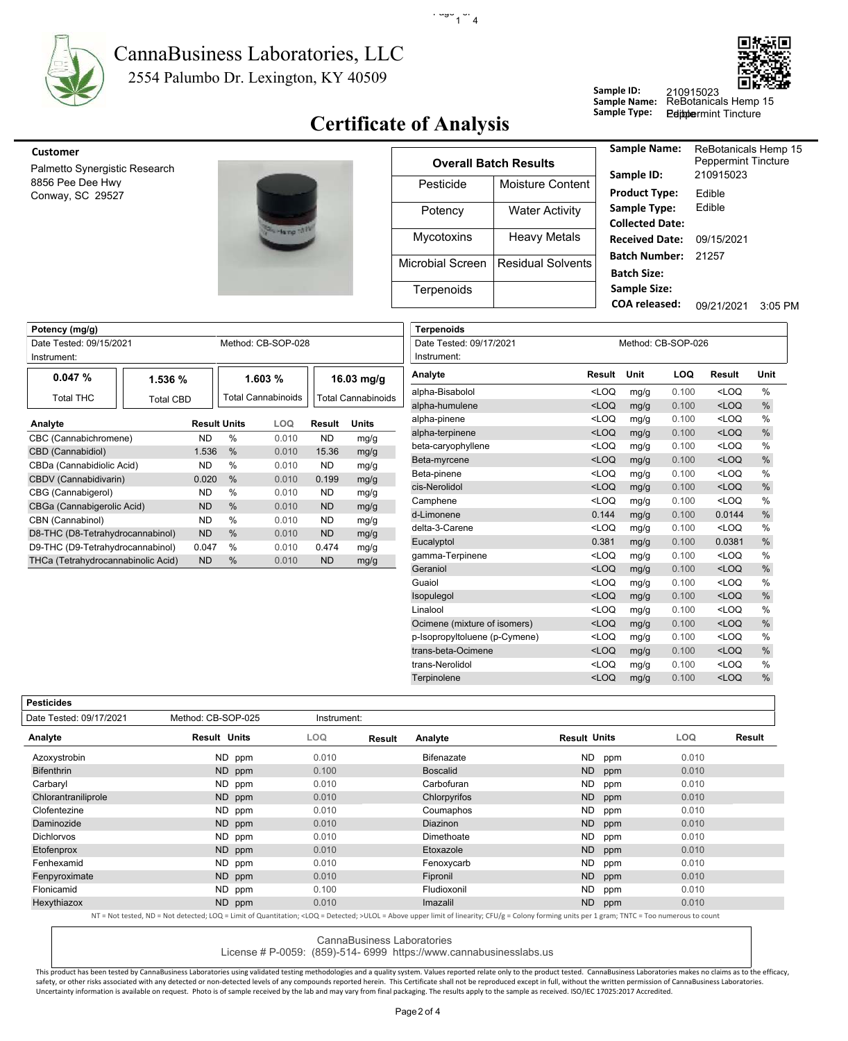

**Potency (mg/g)**

#### 2554 Palumbo Dr. Lexington, KY 40509 CannaBusiness Laboratories, LLC



### **Certificate of Analysis**

 $\cdot$   $\frac{1000}{1}$  4

**Terpenoids**

| <u>CU3LUIILI</u>                                  |  |
|---------------------------------------------------|--|
| Palmetto Synergistic Research<br>8856 Pee Dee Hwy |  |
| Conway, SC 29527                                  |  |
|                                                   |  |

| -51% | ľ   |
|------|-----|
|      | Mic |
|      |     |
|      |     |

| <b>Customer</b>                      |                    |                   |                              | <b>Sample Name:</b>                         |
|--------------------------------------|--------------------|-------------------|------------------------------|---------------------------------------------|
| Palmetto Synergistic Research        |                    |                   | <b>Overall Batch Results</b> |                                             |
| 8856 Pee Dee Hwy<br>Conway, SC 29527 |                    | Pesticide         | Moisture Content             | Sample ID:<br><b>Product Type:</b>          |
|                                      |                    | Potency           | <b>Water Activity</b>        | Sample Type:<br><b>Collected Date</b>       |
|                                      | Hang <sup>13</sup> | <b>Mycotoxins</b> | <b>Heavy Metals</b>          | <b>Received Date</b>                        |
|                                      |                    | Microbial Screen  | Residual Solvents            | <b>Batch Number</b><br><b>Batch Size:</b>   |
|                                      |                    | Terpenoids        |                              | <b>Sample Size:</b><br><b>COA</b> released: |

| Sample Name:<br>Sample ID: | <b>ReBotanicals Hemp 15</b><br><b>Peppermint Tincture</b><br>210915023 |         |
|----------------------------|------------------------------------------------------------------------|---------|
|                            |                                                                        |         |
| <b>Product Type:</b>       | Fdible                                                                 |         |
| Sample Type:               | Fdible                                                                 |         |
| <b>Collected Date:</b>     |                                                                        |         |
| <b>Received Date:</b>      | 09/15/2021                                                             |         |
| Batch Number:              | 21257                                                                  |         |
| <b>Batch Size:</b>         |                                                                        |         |
| <b>Sample Size:</b>        |                                                                        |         |
| COA released:              | 09/21/2021                                                             | 3:05 PM |
|                            |                                                                        |         |

**Peppermint Tincture** 

| Date Tested: 09/15/2021<br>Instrument: |                  |                     | Method: CB-SOP-028 |           |                    | Date Tested: 09/17/2021<br>Instrument: |
|----------------------------------------|------------------|---------------------|--------------------|-----------|--------------------|----------------------------------------|
| 0.047%                                 | 1.536 %          |                     | 1.603%             |           | 16.03 mg/g         | Analyte                                |
| Total THC                              | <b>Total CBD</b> |                     | Total Cannabinoids |           | Total Cannabinoids | alpha-Bisabolol<br>alpha-humulene      |
| Analyte                                |                  | <b>Result Units</b> | LOQ                | Result    | <b>Units</b>       | alpha-pinene                           |
| CBC (Cannabichromene)                  | ND               | $\frac{0}{0}$       | 0.010              | <b>ND</b> | mg/g               | alpha-terpinene                        |
| CBD (Cannabidiol)                      | 1.536            | $\frac{0}{0}$       | 0.010              | 15.36     | mg/g               | beta-caryophyllene                     |
| CBDa (Cannabidiolic Acid)              | ND.              | $\frac{0}{0}$       | 0.010              | <b>ND</b> | mg/g               | Beta-myrcene                           |
| CBDV (Cannabidivarin)                  | 0.020            | $\frac{0}{0}$       | 0.010              | 0.199     | mg/g               | Beta-pinene                            |
| CBG (Cannabigerol)                     | ND.              | $\%$                | 0.010              | <b>ND</b> | mg/g               | cis-Nerolidol                          |
| CBGa (Cannabigerolic Acid)             | <b>ND</b>        | $\frac{0}{0}$       | 0.010              | <b>ND</b> | mg/g               | Camphene                               |
| CBN (Cannabinol)                       | ND.              | $\%$                | 0.010              | <b>ND</b> | mg/g               | d-Limonene                             |
| D8-THC (D8-Tetrahydrocannabinol)       | <b>ND</b>        | $\frac{0}{0}$       | 0.010              | <b>ND</b> | mg/g               | delta-3-Carene                         |
| D9-THC (D9-Tetrahydrocannabinol)       | 0.047            | %                   | 0.010              | 0.474     | mg/g               | Eucalyptol                             |
| THCa (Tetrahydrocannabinolic Acid)     | <b>ND</b>        | $\%$                | 0.010              | <b>ND</b> | mg/g               | gamma-Terpinene<br>Geraniol            |

| Date Tested: 09/17/2021<br>Instrument: |                                                                                                             |      | Method: CB-SOP-026 |                                                      |               |
|----------------------------------------|-------------------------------------------------------------------------------------------------------------|------|--------------------|------------------------------------------------------|---------------|
|                                        |                                                                                                             |      |                    |                                                      |               |
| Analyte                                | Result                                                                                                      | Unit | LOQ                | Result                                               | Unit          |
| alpha-Bisabolol                        | $<$ LOQ                                                                                                     | mg/g | 0.100              | $<$ LOQ                                              | $\frac{0}{0}$ |
| alpha-humulene                         | $<$ LOQ                                                                                                     | mg/g | 0.100              | $<$ LOQ                                              | $\%$          |
| alpha-pinene                           | $<$ LOQ                                                                                                     | mg/g | 0.100              | <loq< td=""><td><math>\frac{0}{0}</math></td></loq<> | $\frac{0}{0}$ |
| alpha-terpinene                        | $<$ LOQ                                                                                                     | mg/g | 0.100              | $<$ LOQ                                              | $\frac{0}{0}$ |
| beta-caryophyllene                     | $<$ LOQ                                                                                                     | mg/g | 0.100              | $<$ LOQ                                              | $\frac{0}{0}$ |
| Beta-myrcene                           | $<$ LOQ                                                                                                     | mg/g | 0.100              | $<$ LOQ                                              | $\%$          |
| Beta-pinene                            | $<$ LOQ                                                                                                     | mg/g | 0.100              | $<$ LOQ                                              | %             |
| cis-Nerolidol                          | $<$ LOQ                                                                                                     | mg/g | 0.100              | $<$ LOQ                                              | %             |
| Camphene                               | $<$ LOQ                                                                                                     | mg/g | 0.100              | $<$ LOQ                                              | $\frac{0}{0}$ |
| d-Limonene                             | 0.144                                                                                                       | mg/g | 0.100              | 0.0144                                               | $\%$          |
| delta-3-Carene                         | $<$ LOQ                                                                                                     | mg/g | 0.100              | $<$ LOQ                                              | $\frac{0}{0}$ |
| Eucalyptol                             | 0.381                                                                                                       | mg/g | 0.100              | 0.0381                                               | %             |
| gamma-Terpinene                        | $<$ LOQ                                                                                                     | mg/g | 0.100              | $<$ LOQ                                              | %             |
| Geraniol                               | $<$ LOQ                                                                                                     | mg/g | 0.100              | $<$ LOQ                                              | %             |
| Guaiol                                 | $<$ LOQ                                                                                                     | mg/g | 0.100              | $<$ LOQ                                              | %             |
| Isopulegol                             | $<$ LOQ                                                                                                     | mg/g | 0.100              | $<$ LOQ                                              | $\%$          |
| Linalool                               | $<$ LOQ                                                                                                     | mg/g | 0.100              | $<$ LOQ                                              | $\frac{0}{0}$ |
| Ocimene (mixture of isomers)           | $<$ LOQ                                                                                                     | mg/g | 0.100              | $<$ LOQ                                              | %             |
| p-Isopropyltoluene (p-Cymene)          | <loq< td=""><td>mg/g</td><td>0.100</td><td><loq< td=""><td><math>\frac{0}{0}</math></td></loq<></td></loq<> | mg/g | 0.100              | <loq< td=""><td><math>\frac{0}{0}</math></td></loq<> | $\frac{0}{0}$ |
| trans-beta-Ocimene                     | $<$ LOQ                                                                                                     | mg/g | 0.100              | $<$ LOQ                                              | %             |
| trans-Nerolidol                        | $<$ LOQ                                                                                                     | mg/g | 0.100              | $<$ LOQ                                              | %             |
| Terpinolene                            | $<$ LOQ                                                                                                     | mg/g | 0.100              | $<$ LOQ                                              | %             |
|                                        |                                                                                                             |      |                    |                                                      |               |

**Sample ID:**

**Sample Name:**

**Pesticides**

| Date Tested: 09/17/2021 | Method: CB-SOP-025                                                                                                                                                                                         | Instrument: |        |                 |                     |     |       |        |
|-------------------------|------------------------------------------------------------------------------------------------------------------------------------------------------------------------------------------------------------|-------------|--------|-----------------|---------------------|-----|-------|--------|
| Analyte                 | <b>Result Units</b>                                                                                                                                                                                        | <b>LOQ</b>  | Result | Analyte         | <b>Result Units</b> |     | LOQ   | Result |
| Azoxystrobin            | ND ppm                                                                                                                                                                                                     | 0.010       |        | Bifenazate      | <b>ND</b>           | ppm | 0.010 |        |
| <b>Bifenthrin</b>       | ND ppm                                                                                                                                                                                                     | 0.100       |        | <b>Boscalid</b> | ND                  | ppm | 0.010 |        |
| Carbaryl                | ND ppm                                                                                                                                                                                                     | 0.010       |        | Carbofuran      | ND.                 | ppm | 0.010 |        |
| Chlorantraniliprole     | ND ppm                                                                                                                                                                                                     | 0.010       |        | Chlorpyrifos    | <b>ND</b>           | ppm | 0.010 |        |
| Clofentezine            | ND ppm                                                                                                                                                                                                     | 0.010       |        | Coumaphos       | <b>ND</b>           | ppm | 0.010 |        |
| Daminozide              | ND ppm                                                                                                                                                                                                     | 0.010       |        | <b>Diazinon</b> | ND                  | ppm | 0.010 |        |
| <b>Dichlorvos</b>       | ND ppm                                                                                                                                                                                                     | 0.010       |        | Dimethoate      | <b>ND</b>           | ppm | 0.010 |        |
| Etofenprox              | ND ppm                                                                                                                                                                                                     | 0.010       |        | Etoxazole       | <b>ND</b>           | ppm | 0.010 |        |
| Fenhexamid              | ND ppm                                                                                                                                                                                                     | 0.010       |        | Fenoxycarb      | ND.                 | ppm | 0.010 |        |
| Fenpyroximate           | ND ppm                                                                                                                                                                                                     | 0.010       |        | Fipronil        | ND                  | ppm | 0.010 |        |
| Flonicamid              | ND ppm                                                                                                                                                                                                     | 0.100       |        | Fludioxonil     | ND.                 | ppm | 0.010 |        |
| Hexythiazox             | ND ppm                                                                                                                                                                                                     | 0.010       |        | Imazalil        | ND                  | ppm | 0.010 |        |
|                         | NT = Not tested. ND = Not detected: LOO = Limit of Quantitation: <loo =="" detected:="">ULOL = Above upper limit of linearity: CFU/g = Colony forming units per 1 gram: TNTC = Too numerous to count</loo> |             |        |                 |                     |     |       |        |

NT = Not tested, ND = Not detected; LOQ = Limit of Quantitation; <LOQ = Detected; >ULOL = Above upper limit of linearity; CFU/g = Colony forming units per 1 gram; TNTC = Too numerous to count

CannaBusiness Laboratories

License # P-0059: (859)-514- 6999 https://www.cannabusinesslabs.us

This product has been tested by CannaBusiness Laboratories using validated testing methodologies and a quality system. Values reported relate only to the product tested. CannaBusiness Laboratories makes no claims as to the safety, or other risks associated with any detected or non-detected levels of any compounds reported herein. This Certificate shall not be reproduced except in full, without the written permission of CannaBusiness Laborato Uncertainty information is available on request. Photo is of sample received by the lab and may vary from final packaging. The results apply to the sample as received. ISO/IEC 17025:2017 Accredited.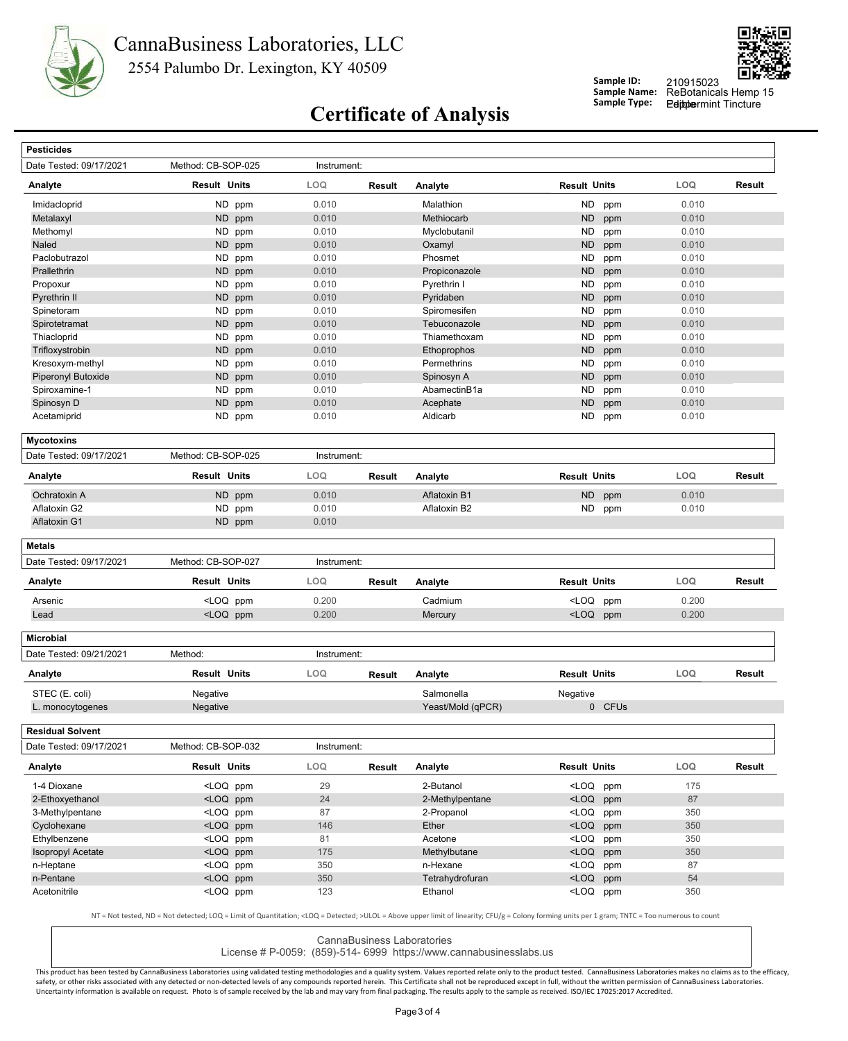



**Peppermint Tincture** 

**Sample ID:**

**Sample Name:**

# **Certificate of Analysis** Sample Type:

| <b>Pesticides</b>        |                                                                                                                                       |             |               |                   |                                                           |        |       |        |
|--------------------------|---------------------------------------------------------------------------------------------------------------------------------------|-------------|---------------|-------------------|-----------------------------------------------------------|--------|-------|--------|
| Date Tested: 09/17/2021  | Method: CB-SOP-025                                                                                                                    | Instrument: |               |                   |                                                           |        |       |        |
| Analyte                  | <b>Result Units</b>                                                                                                                   | LOQ         | <b>Result</b> | Analyte           | <b>Result Units</b>                                       |        | LOQ   | Result |
| Imidacloprid             | ND ppm                                                                                                                                | 0.010       |               | Malathion         | <b>ND</b>                                                 | ppm    | 0.010 |        |
| Metalaxyl                | ND ppm                                                                                                                                | 0.010       |               | Methiocarb        | <b>ND</b>                                                 | ppm    | 0.010 |        |
| Methomyl                 | <b>ND</b><br>ppm                                                                                                                      | 0.010       |               | Myclobutanil      | <b>ND</b>                                                 | ppm    | 0.010 |        |
| Naled                    | ND ppm                                                                                                                                | 0.010       |               | Oxamyl            | <b>ND</b>                                                 | ppm    | 0.010 |        |
| Paclobutrazol            | <b>ND</b><br>ppm                                                                                                                      | 0.010       |               | Phosmet           | <b>ND</b>                                                 | ppm    | 0.010 |        |
| Prallethrin              | <b>ND</b><br>ppm                                                                                                                      | 0.010       |               | Propiconazole     | <b>ND</b>                                                 | ppm    | 0.010 |        |
| Propoxur                 | ND ppm                                                                                                                                | 0.010       |               | Pyrethrin I       | <b>ND</b>                                                 | ppm    | 0.010 |        |
| Pyrethrin II             | <b>ND</b><br>ppm                                                                                                                      | 0.010       |               | Pyridaben         | <b>ND</b>                                                 | ppm    | 0.010 |        |
| Spinetoram               | <b>ND</b><br>ppm                                                                                                                      | 0.010       |               | Spiromesifen      | <b>ND</b>                                                 | ppm    | 0.010 |        |
| Spirotetramat            | ND ppm                                                                                                                                | 0.010       |               | Tebuconazole      | <b>ND</b>                                                 | ppm    | 0.010 |        |
| Thiacloprid              | ND<br>ppm                                                                                                                             | 0.010       |               | Thiamethoxam      | <b>ND</b>                                                 | ppm    | 0.010 |        |
| Trifloxystrobin          | <b>ND</b><br>ppm                                                                                                                      | 0.010       |               | Ethoprophos       | <b>ND</b>                                                 | ppm    | 0.010 |        |
| Kresoxym-methyl          | ND.<br>ppm                                                                                                                            | 0.010       |               | Permethrins       | <b>ND</b>                                                 | ppm    | 0.010 |        |
| Piperonyl Butoxide       | <b>ND</b><br>ppm                                                                                                                      | 0.010       |               | Spinosyn A        | <b>ND</b>                                                 | ppm    | 0.010 |        |
| Spiroxamine-1            | <b>ND</b><br>ppm                                                                                                                      | 0.010       |               | AbamectinB1a      | <b>ND</b>                                                 | ppm    | 0.010 |        |
| Spinosyn D               | ND ppm                                                                                                                                | 0.010       |               | Acephate          | <b>ND</b>                                                 | ppm    | 0.010 |        |
| Acetamiprid              | ND ppm                                                                                                                                | 0.010       |               | Aldicarb          | ND                                                        | ppm    | 0.010 |        |
| <b>Mycotoxins</b>        |                                                                                                                                       |             |               |                   |                                                           |        |       |        |
| Date Tested: 09/17/2021  | Method: CB-SOP-025                                                                                                                    | Instrument: |               |                   |                                                           |        |       |        |
| Analyte                  | <b>Result Units</b>                                                                                                                   | LOQ         | <b>Result</b> | Analyte           | <b>Result Units</b>                                       |        | LOQ   | Result |
| Ochratoxin A             | <b>ND</b><br>ppm                                                                                                                      | 0.010       |               | Aflatoxin B1      | <b>ND</b>                                                 | ppm    | 0.010 |        |
| Aflatoxin G2             | ND ppm                                                                                                                                | 0.010       |               | Aflatoxin B2      | ND                                                        | ppm    | 0.010 |        |
| <b>Aflatoxin G1</b>      | ND ppm                                                                                                                                | 0.010       |               |                   |                                                           |        |       |        |
| <b>Metals</b>            |                                                                                                                                       |             |               |                   |                                                           |        |       |        |
| Date Tested: 09/17/2021  | Method: CB-SOP-027                                                                                                                    | Instrument: |               |                   |                                                           |        |       |        |
| Analyte                  | <b>Result Units</b>                                                                                                                   | LOQ         | Result        | Analyte           | <b>Result Units</b>                                       |        | LOQ   | Result |
| Arsenic                  | <loq ppm<="" td=""><td>0.200</td><td></td><td>Cadmium</td><td><loq< td=""><td>ppm</td><td>0.200</td><td></td></loq<></td></loq>       | 0.200       |               | Cadmium           | <loq< td=""><td>ppm</td><td>0.200</td><td></td></loq<>    | ppm    | 0.200 |        |
| Lead                     | <loq ppm<="" td=""><td>0.200</td><td></td><td>Mercury</td><td><loq ppm<="" td=""><td></td><td>0.200</td><td></td></loq></td></loq>    | 0.200       |               | Mercury           | <loq ppm<="" td=""><td></td><td>0.200</td><td></td></loq> |        | 0.200 |        |
| <b>Microbial</b>         |                                                                                                                                       |             |               |                   |                                                           |        |       |        |
| Date Tested: 09/21/2021  | Method:                                                                                                                               | Instrument: |               |                   |                                                           |        |       |        |
| Analyte                  | <b>Result Units</b>                                                                                                                   | LOQ         | <b>Result</b> | Analyte           | <b>Result Units</b>                                       |        | LOQ   | Result |
| STEC (E. coli)           | Negative                                                                                                                              |             |               | Salmonella        | Negative                                                  |        |       |        |
| L. monocytogenes         | Negative                                                                                                                              |             |               | Yeast/Mold (qPCR) |                                                           | 0 CFUs |       |        |
| <b>Residual Solvent</b>  |                                                                                                                                       |             |               |                   |                                                           |        |       |        |
| Date Tested: 09/17/2021  | Method: CB-SOP-032                                                                                                                    | Instrument: |               |                   |                                                           |        |       |        |
| Analyte                  | <b>Result Units</b>                                                                                                                   | LOQ         | Result        | Analyte           | <b>Result Units</b>                                       |        | LOQ.  | Result |
| 1-4 Dioxane              | <loq ppm<="" td=""><td>29</td><td></td><td>2-Butanol</td><td><loq ppm<="" td=""><td></td><td>175</td><td></td></loq></td></loq>       | 29          |               | 2-Butanol         | <loq ppm<="" td=""><td></td><td>175</td><td></td></loq>   |        | 175   |        |
| 2-Ethoxyethanol          | <loq ppm<="" td=""><td>24</td><td></td><td>2-Methylpentane</td><td><loq ppm<="" td=""><td></td><td>87</td><td></td></loq></td></loq>  | 24          |               | 2-Methylpentane   | <loq ppm<="" td=""><td></td><td>87</td><td></td></loq>    |        | 87    |        |
| 3-Methylpentane          | <loq ppm<="" td=""><td>87</td><td></td><td>2-Propanol</td><td><loq ppm<="" td=""><td></td><td>350</td><td></td></loq></td></loq>      | 87          |               | 2-Propanol        | <loq ppm<="" td=""><td></td><td>350</td><td></td></loq>   |        | 350   |        |
|                          | <loq ppm<="" td=""><td>146</td><td></td><td>Ether</td><td><loq ppm<="" td=""><td></td><td>350</td><td></td></loq></td></loq>          | 146         |               | Ether             | <loq ppm<="" td=""><td></td><td>350</td><td></td></loq>   |        | 350   |        |
| Cyclohexane              |                                                                                                                                       | 81          |               | Acetone           | <loq ppm<="" td=""><td></td><td>350</td><td></td></loq>   |        | 350   |        |
| Ethylbenzene             | <loq ppm<="" td=""><td></td><td></td><td></td><td></td><td></td><td>350</td><td></td></loq>                                           |             |               |                   |                                                           |        | 350   |        |
| <b>Isopropyl Acetate</b> | <loq ppm<="" td=""><td>175</td><td></td><td>Methylbutane</td><td><loq ppm<="" td=""><td></td><td></td><td></td></loq></td></loq>      | 175         |               | Methylbutane      | <loq ppm<="" td=""><td></td><td></td><td></td></loq>      |        |       |        |
| n-Heptane                | <loq ppm<="" td=""><td>350</td><td></td><td>n-Hexane</td><td><loq ppm<="" td=""><td></td><td>87</td><td></td></loq></td></loq>        | 350         |               | n-Hexane          | <loq ppm<="" td=""><td></td><td>87</td><td></td></loq>    |        | 87    |        |
| n-Pentane                | <loq ppm<="" td=""><td>350</td><td></td><td>Tetrahydrofuran</td><td><loq ppm<="" td=""><td></td><td>54</td><td></td></loq></td></loq> | 350         |               | Tetrahydrofuran   | <loq ppm<="" td=""><td></td><td>54</td><td></td></loq>    |        | 54    |        |

CannaBusiness Laboratories

License # P-0059: (859)-514- 6999 https://www.cannabusinesslabs.us

This product has been tested by CannaBusiness Laboratories using validated testing methodologies and a quality system. Values reported relate only to the product tested. CannaBusiness Laboratories makes no claims as to the safety, or other risks associated with any detected or non-detected levels of any compounds reported herein. This Certificate shall not be reproduced except in full, without the written permission of CannaBusiness Laborato Uncertainty information is available on request. Photo is of sample received by the lab and may vary from final packaging. The results apply to the sample as received. ISO/IEC 17025:2017 Accredited.